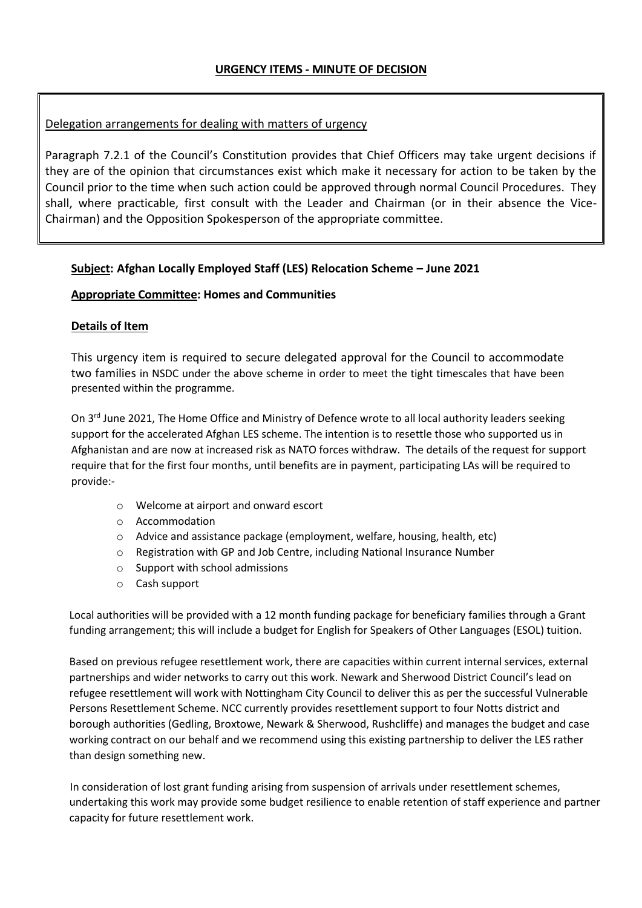# Delegation arrangements for dealing with matters of urgency

Paragraph 7.2.1 of the Council's Constitution provides that Chief Officers may take urgent decisions if they are of the opinion that circumstances exist which make it necessary for action to be taken by the Council prior to the time when such action could be approved through normal Council Procedures. They shall, where practicable, first consult with the Leader and Chairman (or in their absence the Vice-Chairman) and the Opposition Spokesperson of the appropriate committee.

## **Subject: Afghan Locally Employed Staff (LES) Relocation Scheme – June 2021**

### **Appropriate Committee: Homes and Communities**

### **Details of Item**

This urgency item is required to secure delegated approval for the Council to accommodate two families in NSDC under the above scheme in order to meet the tight timescales that have been presented within the programme.

On 3<sup>rd</sup> June 2021, The Home Office and Ministry of Defence wrote to all local authority leaders seeking support for the accelerated Afghan LES scheme. The intention is to resettle those who supported us in Afghanistan and are now at increased risk as NATO forces withdraw. The details of the request for support require that for the first four months, until benefits are in payment, participating LAs will be required to provide:-

- o Welcome at airport and onward escort
- o Accommodation
- o Advice and assistance package (employment, welfare, housing, health, etc)
- o Registration with GP and Job Centre, including National Insurance Number
- o Support with school admissions
- o Cash support

Local authorities will be provided with a 12 month funding package for beneficiary families through a Grant funding arrangement; this will include a budget for English for Speakers of Other Languages (ESOL) tuition.

Based on previous refugee resettlement work, there are capacities within current internal services, external partnerships and wider networks to carry out this work. Newark and Sherwood District Council's lead on refugee resettlement will work with Nottingham City Council to deliver this as per the successful Vulnerable Persons Resettlement Scheme. NCC currently provides resettlement support to four Notts district and borough authorities (Gedling, Broxtowe, Newark & Sherwood, Rushcliffe) and manages the budget and case working contract on our behalf and we recommend using this existing partnership to deliver the LES rather than design something new.

In consideration of lost grant funding arising from suspension of arrivals under resettlement schemes, undertaking this work may provide some budget resilience to enable retention of staff experience and partner capacity for future resettlement work.